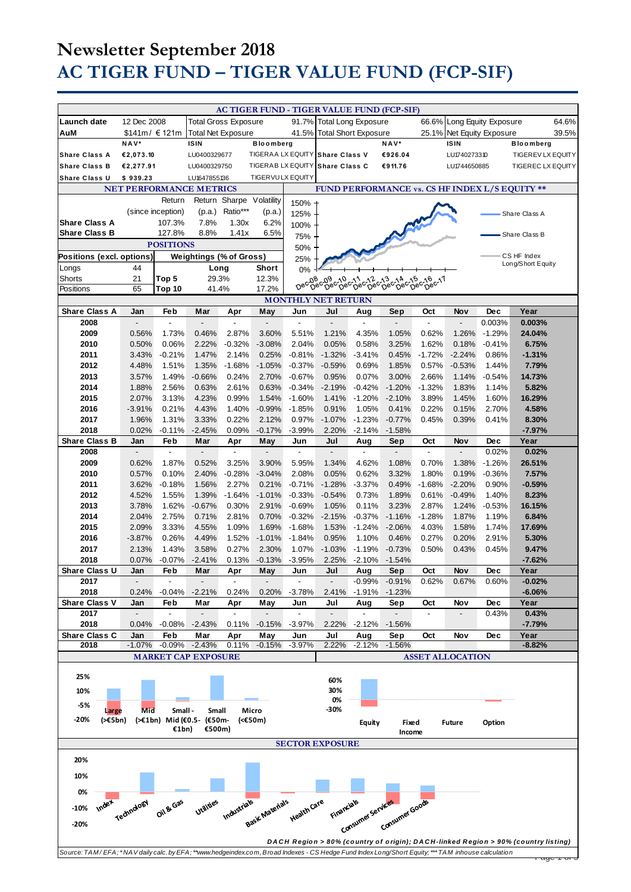# **Newsletter September 2018 AC TIGER FUND – TIGER VALUE FUND (FCP-SIF)**

|                                                                                                                                                                         |                                 |                               |                                 |                                 |                       |                            | AC TIGER FUND - TIGER VALUE FUND (FCP-SIF)                                  |                       |                                 |                                 |                                 |                                                |                                                                                   |
|-------------------------------------------------------------------------------------------------------------------------------------------------------------------------|---------------------------------|-------------------------------|---------------------------------|---------------------------------|-----------------------|----------------------------|-----------------------------------------------------------------------------|-----------------------|---------------------------------|---------------------------------|---------------------------------|------------------------------------------------|-----------------------------------------------------------------------------------|
| <b>Launch date</b>                                                                                                                                                      | 12 Dec 2008                     |                               | <b>Total Gross Exposure</b>     |                                 |                       |                            | 91.7% Total Long Exposure                                                   |                       |                                 |                                 | 66.6% Long Equity Exposure      |                                                | 64.6%                                                                             |
| AuM                                                                                                                                                                     | \$141m/ € 121m                  |                               | <b>Total Net Exposure</b>       |                                 |                       | 41.5% Total Short Exposure |                                                                             |                       |                                 |                                 | 25.1% Net Equity Exposure       |                                                | 39.5%                                                                             |
| <b>Share Class A</b>                                                                                                                                                    | NAV*<br>€2,073.10               |                               | <b>ISIN</b><br>LU0400329677     |                                 | <b>Bloomberg</b>      |                            | TIGERAA LX EQUITY Share Class V                                             |                       | NAV*<br>€926.04                 |                                 | <b>ISIN</b><br>LU1740273310     |                                                | <b>Bloomberg</b><br>TIGEREV LX EQUITY                                             |
| <b>Share Class B</b>                                                                                                                                                    | €2,277.91                       |                               | LU0400329750                    |                                 |                       |                            | TIGERAB LX EQUITY Share Class C                                             |                       | €911.76                         |                                 | LU1744650885                    |                                                | <b>TIGEREC LX EQUITY</b>                                                          |
| <b>Share Class U</b>                                                                                                                                                    | \$939.23                        |                               | LU1647855136                    |                                 | TIGER VULX EQUITY     |                            |                                                                             |                       |                                 |                                 |                                 |                                                |                                                                                   |
| <b>NET PERFORMANCE METRICS</b>                                                                                                                                          |                                 |                               |                                 |                                 |                       |                            |                                                                             |                       |                                 |                                 |                                 | FUND PERFORMANCE vs. CS HF INDEX L/S EQUITY ** |                                                                                   |
|                                                                                                                                                                         |                                 | Return                        |                                 | Return Sharpe Volatility        |                       | 150% +                     |                                                                             |                       |                                 |                                 |                                 |                                                |                                                                                   |
|                                                                                                                                                                         |                                 | (since inception)             | (p.a.)                          | Ratio***                        | (p.a.)                | 125%                       |                                                                             |                       |                                 |                                 |                                 |                                                | Share Class A                                                                     |
| <b>Share Class A</b><br><b>Share Class B</b>                                                                                                                            |                                 | 107.3%                        | 7.8%<br>8.8%                    | 1.30x<br>1.41x                  | 6.2%<br>6.5%          | 100%                       |                                                                             |                       |                                 |                                 |                                 |                                                |                                                                                   |
|                                                                                                                                                                         |                                 | 127.8%<br><b>POSITIONS</b>    |                                 |                                 |                       | 75%                        |                                                                             |                       |                                 |                                 |                                 |                                                | Share Class B                                                                     |
| Positions (excl. options)                                                                                                                                               |                                 |                               | <b>Weightings (% of Gross)</b>  |                                 |                       | 50%<br>25%                 |                                                                             |                       |                                 |                                 |                                 |                                                | CS HF Index                                                                       |
| Longs                                                                                                                                                                   | 44                              |                               | Long                            |                                 | Short                 | 0%                         |                                                                             |                       |                                 |                                 |                                 |                                                | Long/Short Equity                                                                 |
| Shorts                                                                                                                                                                  | 21                              | Top 5                         | 29.3%                           |                                 | 12.3%                 | Dec <sub>08</sub>          | .08.09.00.011.02.013.014.015.016.017<br>'Dec Dec Dec Dec Dec Dec Dec Dec 17 |                       |                                 |                                 |                                 |                                                |                                                                                   |
| Positions                                                                                                                                                               | 65                              | Top 10                        | 41.4%                           |                                 | 17.2%                 |                            |                                                                             |                       |                                 |                                 |                                 |                                                |                                                                                   |
| <b>Share Class A</b>                                                                                                                                                    |                                 | Feb                           |                                 |                                 |                       |                            | <b>MONTHLY NET RETURN</b><br>Jul                                            |                       |                                 |                                 |                                 | Dec                                            | Year                                                                              |
| 2008                                                                                                                                                                    | Jan                             |                               | Mar                             | Apr                             | May                   | Jun                        |                                                                             | Aug                   | Sep                             | Oct                             | Nov                             | 0.003%                                         | 0.003%                                                                            |
| 2009                                                                                                                                                                    | 0.56%                           | 1.73%                         | 0.46%                           | 2.87%                           | 3.60%                 | 5.51%                      | 1.21%                                                                       | 4.35%                 | 1.05%                           | 0.62%                           | 1.26%                           | $-1.29%$                                       | 24.04%                                                                            |
| 2010                                                                                                                                                                    | 0.50%                           | 0.06%                         | 2.22%                           | $-0.32%$                        | $-3.08%$              | 2.04%                      | 0.05%                                                                       | 0.58%                 | 3.25%                           | 1.62%                           | 0.18%                           | $-0.41%$                                       | 6.75%                                                                             |
| 2011                                                                                                                                                                    | 3.43%                           | $-0.21%$                      | 1.47%                           | 2.14%                           | 0.25%                 | $-0.81%$                   | $-1.32%$                                                                    | $-3.41%$              | 0.45%                           | $-1.72%$                        | $-2.24%$                        | 0.86%                                          | $-1.31%$                                                                          |
| 2012                                                                                                                                                                    | 4.48%                           | 1.51%                         | 1.35%                           | $-1.68%$                        | $-1.05%$              | $-0.37%$                   | $-0.59%$                                                                    | 0.69%                 | 1.85%                           | 0.57%                           | $-0.53%$                        | 1.44%                                          | 7.79%                                                                             |
| 2013<br>2014                                                                                                                                                            | 3.57%<br>1.88%                  | 1.49%<br>2.56%                | $-0.66%$<br>0.63%               | 0.24%<br>2.61%                  | 2.70%<br>0.63%        | $-0.67%$<br>$-0.34%$       | 0.95%<br>$-2.19%$                                                           | 0.07%<br>$-0.42%$     | 3.00%<br>$-1.20%$               | 2.66%<br>$-1.32%$               | 1.14%<br>1.83%                  | $-0.54%$<br>1.14%                              | 14.73%<br>5.82%                                                                   |
| 2015                                                                                                                                                                    | 2.07%                           | 3.13%                         | 4.23%                           | 0.99%                           | 1.54%                 | $-1.60%$                   | 1.41%                                                                       | $-1.20%$              | $-2.10%$                        | 3.89%                           | 1.45%                           | 1.60%                                          | 16.29%                                                                            |
| 2016                                                                                                                                                                    | $-3.91%$                        | 0.21%                         | 4.43%                           | 1.40%                           | $-0.99%$              | $-1.85%$                   | 0.91%                                                                       | 1.05%                 | 0.41%                           | 0.22%                           | 0.15%                           | 2.70%                                          | 4.58%                                                                             |
| 2017                                                                                                                                                                    | 1.96%                           | 1.31%                         | 3.33%                           | 0.22%                           | 2.12%                 | 0.97%                      | $-1.07%$                                                                    | $-1.23%$              | $-0.77%$                        | 0.45%                           | 0.39%                           | 0.41%                                          | 8.30%                                                                             |
| 2018                                                                                                                                                                    | 0.02%                           | $-0.11%$                      | $-2.45%$                        | 0.09%                           | $-0.17%$              | $-3.99%$                   | 2.20%                                                                       | $-2.14%$              | $-1.58%$                        |                                 |                                 |                                                | $-7.97%$                                                                          |
| Share Class B<br>2008                                                                                                                                                   | Jan<br>$\overline{\phantom{a}}$ | Feb<br>$\overline{a}$         | Mar<br>$\overline{\phantom{a}}$ | Apr<br>$\overline{\phantom{a}}$ | May<br>$\overline{a}$ | Jun<br>$\blacksquare$      | Jul<br>$\overline{\phantom{a}}$                                             | Aug<br>$\blacksquare$ | Sep<br>$\overline{\phantom{a}}$ | Oct<br>$\overline{\phantom{a}}$ | Nov<br>$\overline{\phantom{a}}$ | <b>Dec</b><br>0.02%                            | Year<br>0.02%                                                                     |
| 2009                                                                                                                                                                    | 0.62%                           | 1.87%                         | 0.52%                           | 3.25%                           | 3.90%                 | 5.95%                      | 1.34%                                                                       | 4.62%                 | 1.08%                           | 0.70%                           | 1.38%                           | $-1.26%$                                       | 26.51%                                                                            |
| 2010                                                                                                                                                                    | 0.57%                           | 0.10%                         | 2.40%                           | $-0.28%$                        | $-3.04%$              | 2.08%                      | 0.05%                                                                       | 0.62%                 | 3.32%                           | 1.80%                           | 0.19%                           | $-0.36%$                                       | 7.57%                                                                             |
| 2011                                                                                                                                                                    | 3.62%                           | $-0.18%$                      | 1.56%                           | 2.27%                           | 0.21%                 | $-0.71%$                   | $-1.28%$                                                                    | $-3.37%$              | 0.49%                           | $-1.68%$                        | $-2.20%$                        | 0.90%                                          | -0.59%                                                                            |
| 2012                                                                                                                                                                    | 4.52%                           | 1.55%                         | 1.39%                           | $-1.64%$                        | $-1.01%$              | $-0.33%$                   | $-0.54%$                                                                    | 0.73%                 | 1.89%                           | 0.61%                           | $-0.49%$                        | 1.40%                                          | 8.23%                                                                             |
| 2013                                                                                                                                                                    | 3.78%                           | 1.62%                         | $-0.67%$                        | 0.30%                           | 2.91%                 | $-0.69%$                   | 1.05%                                                                       | 0.11%                 | 3.23%                           | 2.87%                           | 1.24%                           | $-0.53%$                                       | 16.15%                                                                            |
| 2014<br>2015                                                                                                                                                            | 2.04%<br>2.09%                  | 2.75%<br>3.33%                | 0.71%<br>4.55%                  | 2.81%<br>1.09%                  | 0.70%<br>1.69%        | $-0.32%$<br>$-1.68%$       | $-2.15%$<br>1.53%                                                           | $-0.37%$<br>$-1.24%$  | $-1.16%$<br>$-2.06%$            | $-1.28%$<br>4.03%               | 1.87%<br>1.58%                  | 1.19%<br>1.74%                                 | 6.84%<br>17.69%                                                                   |
| 2016                                                                                                                                                                    | $-3.87%$                        | 0.26%                         | 4.49%                           | 1.52%                           | $-1.01%$              | $-1.84%$                   | 0.95%                                                                       | 1.10%                 | 0.46%                           | 0.27%                           | 0.20%                           | 2.91%                                          | 5.30%                                                                             |
| 2017                                                                                                                                                                    | 2.13%                           | 1.43%                         | 3.58%                           | 0.27%                           | 2.30%                 | 1.07%                      | $-1.03%$                                                                    | $-1.19%$              | $-0.73%$                        | 0.50%                           | 0.43%                           | 0.45%                                          | 9.47%                                                                             |
| 2018                                                                                                                                                                    | 0.07%                           | $-0.07%$                      | $-2.41%$                        | 0.13%                           | $-0.13%$              | $-3.95%$                   | 2.25%                                                                       | $-2.10%$              | $-1.54%$                        |                                 |                                 |                                                | $-7.62%$                                                                          |
| Share Class U                                                                                                                                                           | Jan                             | Feb                           | Mar                             | Apr                             | May                   | Jun                        | Jul                                                                         | Aug                   | Sep                             | Oct                             | Nov                             | Dec                                            | Year                                                                              |
| 2017<br>2018                                                                                                                                                            | 0.24%                           | -0.04%                        | $-2.21%$                        | 0.24%                           | 0.20%                 | $-3.78%$                   | 2.41%                                                                       | $-0.99%$<br>$-1.91%$  | $-0.91%$<br>$-1.23%$            | 0.62%                           | 0.67%                           | 0.60%                                          | $-0.02%$<br>$-6.06%$                                                              |
| Share Class V                                                                                                                                                           | Jan                             | Feb                           | Mar                             | Apr                             | May                   | Jun                        | Jul                                                                         | Aug                   | Sep                             | Oct                             | Nov                             | Dec                                            | Year                                                                              |
| 2017                                                                                                                                                                    | $\overline{\phantom{a}}$        | $\blacksquare$                | $\overline{\phantom{a}}$        | $\overline{\phantom{a}}$        | $\overline{a}$        | $\blacksquare$             | $\blacksquare$                                                              | $\blacksquare$        | $\overline{\phantom{a}}$        | $\overline{\phantom{a}}$        |                                 | 0.43%                                          | 0.43%                                                                             |
| 2018                                                                                                                                                                    | 0.04%                           | $-0.08\%$                     | $-2.43%$                        | 0.11%                           | $-0.15%$              | $-3.97%$                   | 2.22%                                                                       | $-2.12%$              | $-1.56%$                        |                                 |                                 |                                                | $-7.79%$                                                                          |
| Share Class C<br>2018                                                                                                                                                   | Jan<br>$-1.07%$                 | Feb<br>$-0.09%$               | Mar<br>$-2.43%$                 | Apr<br>0.11%                    | May<br>$-0.15%$       | Jun<br>$-3.97%$            | Jul<br>2.22%                                                                | Aug<br>$-2.12%$       | Sep<br>$-1.56%$                 | Oct                             | Nov                             | Dec                                            | Year<br>$-8.82%$                                                                  |
|                                                                                                                                                                         |                                 |                               |                                 |                                 |                       |                            |                                                                             |                       |                                 |                                 |                                 |                                                |                                                                                   |
| <b>MARKET CAP EXPOSURE</b><br><b>ASSET ALLOCATION</b>                                                                                                                   |                                 |                               |                                 |                                 |                       |                            |                                                                             |                       |                                 |                                 |                                 |                                                |                                                                                   |
| 25%                                                                                                                                                                     |                                 |                               |                                 |                                 |                       |                            | 60%                                                                         |                       |                                 |                                 |                                 |                                                |                                                                                   |
| 10%                                                                                                                                                                     |                                 |                               |                                 |                                 |                       |                            | 30%                                                                         |                       |                                 |                                 |                                 |                                                |                                                                                   |
| -5%                                                                                                                                                                     |                                 |                               |                                 |                                 |                       |                            | 0%<br>-30%                                                                  |                       |                                 |                                 |                                 |                                                |                                                                                   |
| Large<br>$-20%$<br>(>€5bn)                                                                                                                                              | Mid                             | Small -<br>(>€1bn) Mid (€0.5- | Small<br>(€50m-                 |                                 | Micro<br>$(50m)$      |                            |                                                                             | Equity                | Fixed                           |                                 | <b>Future</b>                   | Option                                         |                                                                                   |
|                                                                                                                                                                         |                                 | €1bn)                         | €500m)                          |                                 |                       |                            |                                                                             |                       | Income                          |                                 |                                 |                                                |                                                                                   |
|                                                                                                                                                                         |                                 |                               |                                 |                                 |                       |                            | <b>SECTOR EXPOSURE</b>                                                      |                       |                                 |                                 |                                 |                                                |                                                                                   |
| 20%                                                                                                                                                                     |                                 |                               |                                 |                                 |                       |                            |                                                                             |                       |                                 |                                 |                                 |                                                |                                                                                   |
|                                                                                                                                                                         |                                 |                               |                                 |                                 |                       |                            |                                                                             |                       |                                 |                                 |                                 |                                                |                                                                                   |
| 10%                                                                                                                                                                     |                                 |                               |                                 |                                 |                       |                            |                                                                             |                       |                                 |                                 |                                 |                                                |                                                                                   |
| 0%                                                                                                                                                                      |                                 |                               |                                 |                                 |                       |                            |                                                                             |                       |                                 |                                 |                                 |                                                |                                                                                   |
| <b>Industrials</b><br>Health Care<br>Financials<br>Index<br>Technology<br>Oil <sup>84 Gas</sup><br>Utilities<br>-10%                                                    |                                 |                               |                                 |                                 |                       |                            |                                                                             |                       |                                 |                                 |                                 |                                                |                                                                                   |
| Basic Materials<br>inen<br>Consumer services<br>Consumer services<br>$-20%$                                                                                             |                                 |                               |                                 |                                 |                       |                            |                                                                             |                       |                                 |                                 |                                 |                                                |                                                                                   |
|                                                                                                                                                                         |                                 |                               |                                 |                                 |                       |                            |                                                                             |                       |                                 |                                 |                                 |                                                |                                                                                   |
|                                                                                                                                                                         |                                 |                               |                                 |                                 |                       |                            |                                                                             |                       |                                 |                                 |                                 |                                                | DACH Region > 80% (country of origin); DACH-linked Region > 90% (country listing) |
| Source: TAM/EFA;*NAV daily calc. by EFA;**www.hedgeindex.com, Broad Indexes - CS Hedge Fund Index Long/Short Equity;***TAM inhouse calculation<br>ray <del>o</del> 1 or |                                 |                               |                                 |                                 |                       |                            |                                                                             |                       |                                 |                                 |                                 |                                                |                                                                                   |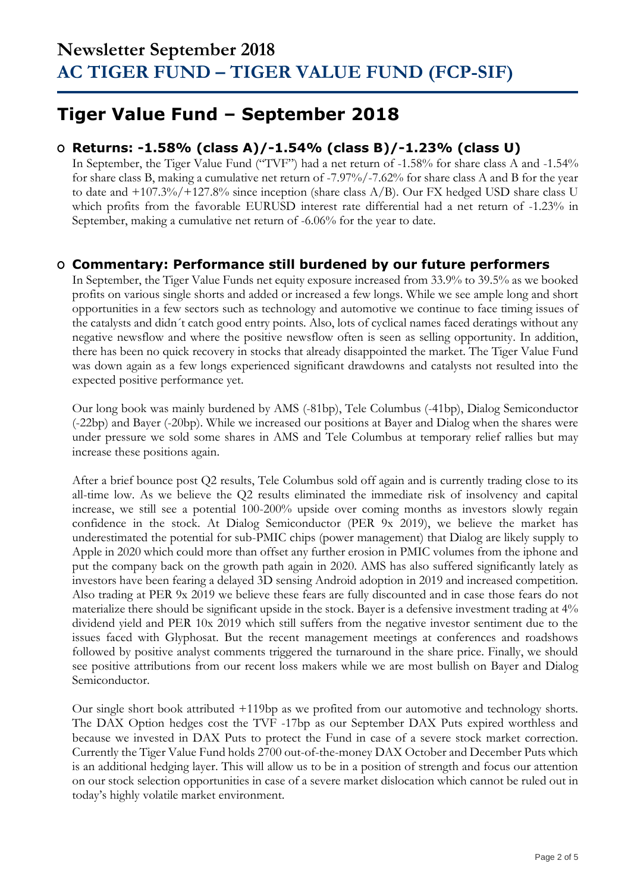## **Tiger Value Fund – September 2018**

### **O Returns: -1.58% (class A)/-1.54% (class B)/-1.23% (class U)**

In September, the Tiger Value Fund ("TVF") had a net return of -1.58% for share class A and -1.54% for share class B, making a cumulative net return of -7.97%/-7.62% for share class A and B for the year to date and  $+107.3\%/+127.8\%$  since inception (share class A/B). Our FX hedged USD share class U which profits from the favorable EURUSD interest rate differential had a net return of -1.23% in September, making a cumulative net return of -6.06% for the year to date.

### **O Commentary: Performance still burdened by our future performers**

In September, the Tiger Value Funds net equity exposure increased from 33.9% to 39.5% as we booked profits on various single shorts and added or increased a few longs. While we see ample long and short opportunities in a few sectors such as technology and automotive we continue to face timing issues of the catalysts and didn´t catch good entry points. Also, lots of cyclical names faced deratings without any negative newsflow and where the positive newsflow often is seen as selling opportunity. In addition, there has been no quick recovery in stocks that already disappointed the market. The Tiger Value Fund was down again as a few longs experienced significant drawdowns and catalysts not resulted into the expected positive performance yet.

Our long book was mainly burdened by AMS (-81bp), Tele Columbus (-41bp), Dialog Semiconductor (-22bp) and Bayer (-20bp). While we increased our positions at Bayer and Dialog when the shares were under pressure we sold some shares in AMS and Tele Columbus at temporary relief rallies but may increase these positions again.

After a brief bounce post Q2 results, Tele Columbus sold off again and is currently trading close to its all-time low. As we believe the Q2 results eliminated the immediate risk of insolvency and capital increase, we still see a potential 100-200% upside over coming months as investors slowly regain confidence in the stock. At Dialog Semiconductor (PER 9x 2019), we believe the market has underestimated the potential for sub-PMIC chips (power management) that Dialog are likely supply to Apple in 2020 which could more than offset any further erosion in PMIC volumes from the iphone and put the company back on the growth path again in 2020. AMS has also suffered significantly lately as investors have been fearing a delayed 3D sensing Android adoption in 2019 and increased competition. Also trading at PER 9x 2019 we believe these fears are fully discounted and in case those fears do not materialize there should be significant upside in the stock. Bayer is a defensive investment trading at 4% dividend yield and PER 10x 2019 which still suffers from the negative investor sentiment due to the issues faced with Glyphosat. But the recent management meetings at conferences and roadshows followed by positive analyst comments triggered the turnaround in the share price. Finally, we should see positive attributions from our recent loss makers while we are most bullish on Bayer and Dialog Semiconductor.

Our single short book attributed +119bp as we profited from our automotive and technology shorts. The DAX Option hedges cost the TVF -17bp as our September DAX Puts expired worthless and because we invested in DAX Puts to protect the Fund in case of a severe stock market correction. Currently the Tiger Value Fund holds 2700 out-of-the-money DAX October and December Puts which is an additional hedging layer. This will allow us to be in a position of strength and focus our attention on our stock selection opportunities in case of a severe market dislocation which cannot be ruled out in today's highly volatile market environment.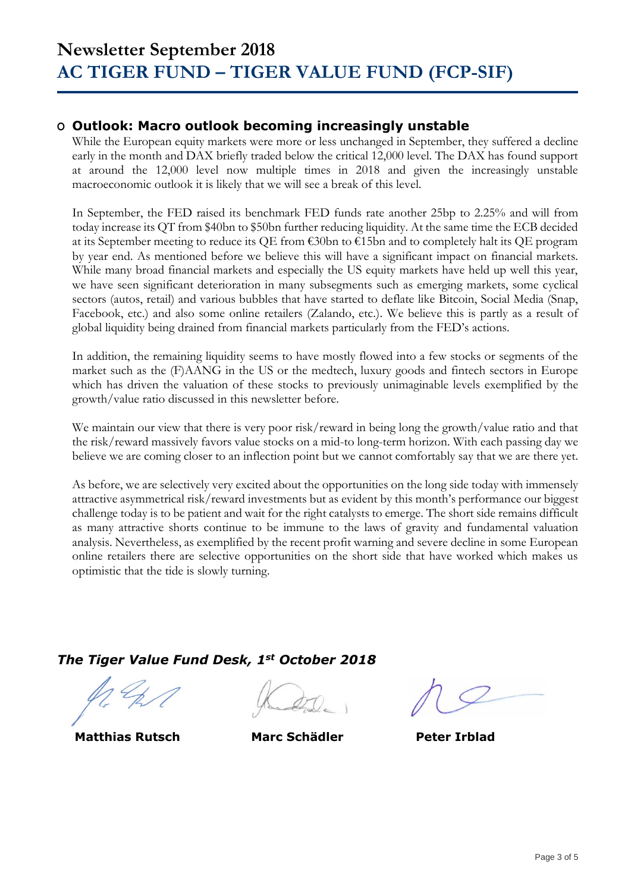### **O Outlook: Macro outlook becoming increasingly unstable**

While the European equity markets were more or less unchanged in September, they suffered a decline early in the month and DAX briefly traded below the critical 12,000 level. The DAX has found support at around the 12,000 level now multiple times in 2018 and given the increasingly unstable macroeconomic outlook it is likely that we will see a break of this level.

In September, the FED raised its benchmark FED funds rate another 25bp to 2.25% and will from today increase its QT from \$40bn to \$50bn further reducing liquidity. At the same time the ECB decided at its September meeting to reduce its QE from €30bn to €15bn and to completely halt its QE program by year end. As mentioned before we believe this will have a significant impact on financial markets. While many broad financial markets and especially the US equity markets have held up well this year, we have seen significant deterioration in many subsegments such as emerging markets, some cyclical sectors (autos, retail) and various bubbles that have started to deflate like Bitcoin, Social Media (Snap, Facebook, etc.) and also some online retailers (Zalando, etc.). We believe this is partly as a result of global liquidity being drained from financial markets particularly from the FED's actions.

In addition, the remaining liquidity seems to have mostly flowed into a few stocks or segments of the market such as the (F)AANG in the US or the medtech, luxury goods and fintech sectors in Europe which has driven the valuation of these stocks to previously unimaginable levels exemplified by the growth/value ratio discussed in this newsletter before.

We maintain our view that there is very poor risk/reward in being long the growth/value ratio and that the risk/reward massively favors value stocks on a mid-to long-term horizon. With each passing day we believe we are coming closer to an inflection point but we cannot comfortably say that we are there yet.

As before, we are selectively very excited about the opportunities on the long side today with immensely attractive asymmetrical risk/reward investments but as evident by this month's performance our biggest challenge today is to be patient and wait for the right catalysts to emerge. The short side remains difficult as many attractive shorts continue to be immune to the laws of gravity and fundamental valuation analysis. Nevertheless, as exemplified by the recent profit warning and severe decline in some European online retailers there are selective opportunities on the short side that have worked which makes us optimistic that the tide is slowly turning.

## *The Tiger Value Fund Desk, 1st October 2018*

**Matthias Rutsch Marc Schädler Peter Irblad**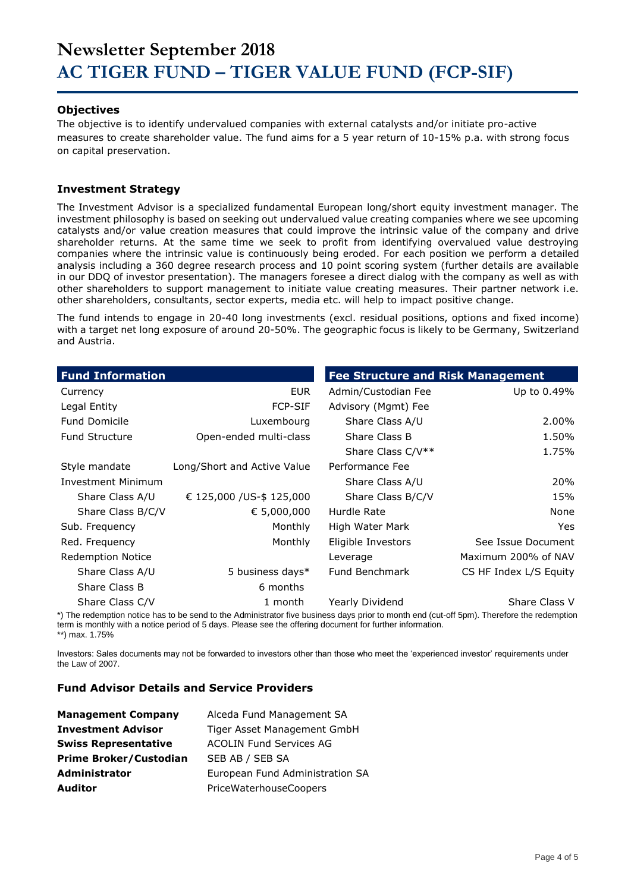## **Newsletter September 2018 AC TIGER FUND – TIGER VALUE FUND (FCP-SIF)**

#### **Objectives**

The objective is to identify undervalued companies with external catalysts and/or initiate pro-active measures to create shareholder value. The fund aims for a 5 year return of 10-15% p.a. with strong focus on capital preservation.

#### **Investment Strategy**

The Investment Advisor is a specialized fundamental European long/short equity investment manager. The investment philosophy is based on seeking out undervalued value creating companies where we see upcoming catalysts and/or value creation measures that could improve the intrinsic value of the company and drive shareholder returns. At the same time we seek to profit from identifying overvalued value destroying companies where the intrinsic value is continuously being eroded. For each position we perform a detailed analysis including a 360 degree research process and 10 point scoring system (further details are available in our DDQ of investor presentation). The managers foresee a direct dialog with the company as well as with other shareholders to support management to initiate value creating measures. Their partner network i.e. other shareholders, consultants, sector experts, media etc. will help to impact positive change.

The fund intends to engage in 20-40 long investments (excl. residual positions, options and fixed income) with a target net long exposure of around 20-50%. The geographic focus is likely to be Germany, Switzerland and Austria.

| <b>Fund Information</b>   |                             | <b>Fee Structure and Risk Management</b> |                        |
|---------------------------|-----------------------------|------------------------------------------|------------------------|
| Currency                  | EUR.                        | Admin/Custodian Fee                      | Up to 0.49%            |
| Legal Entity              | <b>FCP-SIF</b>              | Advisory (Mgmt) Fee                      |                        |
| <b>Fund Domicile</b>      | Luxembourg                  | Share Class A/U                          | 2.00%                  |
| <b>Fund Structure</b>     | Open-ended multi-class      | Share Class B                            | 1.50%                  |
|                           |                             | Share Class C/V**                        | 1.75%                  |
| Style mandate             | Long/Short and Active Value | Performance Fee                          |                        |
| <b>Investment Minimum</b> |                             | Share Class A/U                          | 20%                    |
| Share Class A/U           | € 125,000 / US-\$ 125,000   | Share Class B/C/V                        | 15%                    |
| Share Class B/C/V         | € 5,000,000                 | Hurdle Rate                              | None                   |
| Sub. Frequency            | Monthly                     | High Water Mark                          | <b>Yes</b>             |
| Red. Frequency            | Monthly                     | Eligible Investors                       | See Issue Document     |
| <b>Redemption Notice</b>  |                             | Leverage                                 | Maximum 200% of NAV    |
| Share Class A/U           | 5 business days*            | Fund Benchmark                           | CS HF Index L/S Equity |
| Share Class B             | 6 months                    |                                          |                        |
| Share Class C/V           | 1 month                     | Yearly Dividend                          | Share Class V          |

\*) The redemption notice has to be send to the Administrator five business days prior to month end (cut-off 5pm). Therefore the redemption term is monthly with a notice period of 5 days. Please see the offering document for further information. \*\*) max. 1.75%

Investors: Sales documents may not be forwarded to investors other than those who meet the 'experienced investor' requirements under the Law of 2007.

#### **Fund Advisor Details and Service Providers**

| <b>Management Company</b>     | Alceda Fund Management SA       |
|-------------------------------|---------------------------------|
| <b>Investment Advisor</b>     | Tiger Asset Management GmbH     |
| <b>Swiss Representative</b>   | <b>ACOLIN Fund Services AG</b>  |
| <b>Prime Broker/Custodian</b> | SEB AB / SEB SA                 |
| <b>Administrator</b>          | European Fund Administration SA |
| Auditor                       | PriceWaterhouseCoopers          |